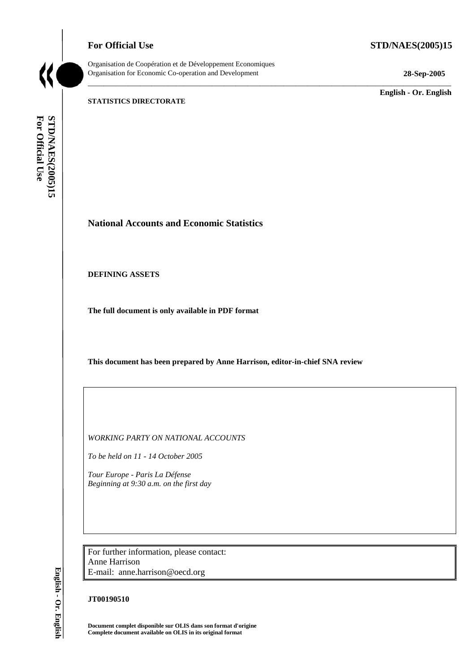## **For Official Use STD/NAES(2005)15**



Organisation de Coopération et de Développement Economiques Organisation for Economic Co-operation and Development **28-Sep-2005** 

\_\_\_\_\_\_\_\_\_\_\_\_\_\_\_\_\_\_\_\_\_\_\_\_\_\_\_\_\_\_\_\_\_\_\_\_\_\_\_\_\_\_\_\_\_\_\_\_\_\_\_\_\_\_\_\_\_\_\_\_\_\_\_\_\_\_\_\_\_\_\_\_\_\_\_\_\_\_\_\_\_\_\_\_\_\_\_\_\_\_\_

\_\_\_\_\_\_\_\_\_\_\_\_\_ **English - Or. English** 

#### **STATISTICS DIRECTORATE**

For Official Use STD/NAES(2005)15 **For Official Use STD/NAES(2005)15**

**National Accounts and Economic Statistics** 

**DEFINING ASSETS** 

**The full document is only available in PDF format** 

**This document has been prepared by Anne Harrison, editor-in-chief SNA review** 

*WORKING PARTY ON NATIONAL ACCOUNTS* 

*To be held on 11 - 14 October 2005* 

*Tour Europe - Paris La Défense Beginning at 9:30 a.m. on the first day* 

For further information, please contact: Anne Harrison E-mail: anne.harrison@oecd.org

### **JT00190510**

**Document complet disponible sur OLIS dans son format d'origine Complete document available on OLIS in its original format** 

English - Or. English **English - Or. English**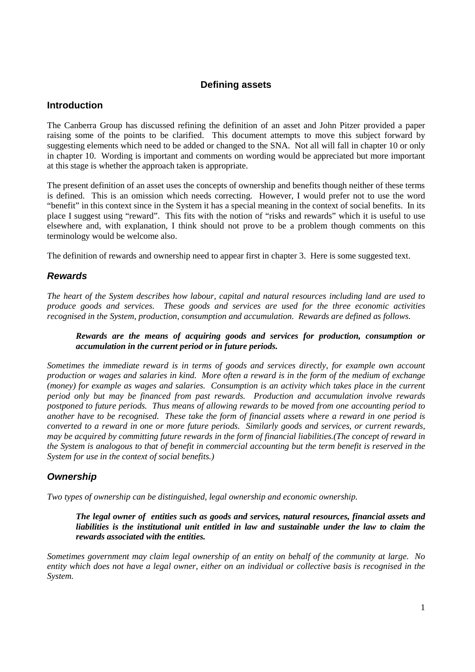## **Defining assets**

## **Introduction**

The Canberra Group has discussed refining the definition of an asset and John Pitzer provided a paper raising some of the points to be clarified. This document attempts to move this subject forward by suggesting elements which need to be added or changed to the SNA. Not all will fall in chapter 10 or only in chapter 10. Wording is important and comments on wording would be appreciated but more important at this stage is whether the approach taken is appropriate.

The present definition of an asset uses the concepts of ownership and benefits though neither of these terms is defined. This is an omission which needs correcting. However, I would prefer not to use the word "benefit" in this context since in the System it has a special meaning in the context of social benefits. In its place I suggest using "reward". This fits with the notion of "risks and rewards" which it is useful to use elsewhere and, with explanation, I think should not prove to be a problem though comments on this terminology would be welcome also.

The definition of rewards and ownership need to appear first in chapter 3. Here is some suggested text.

## **Rewards**

*The heart of the System describes how labour, capital and natural resources including land are used to produce goods and services. These goods and services are used for the three economic activities recognised in the System, production, consumption and accumulation. Rewards are defined as follows.* 

## *Rewards are the means of acquiring goods and services for production, consumption or accumulation in the current period or in future periods.*

*Sometimes the immediate reward is in terms of goods and services directly, for example own account production or wages and salaries in kind. More often a reward is in the form of the medium of exchange (money) for example as wages and salaries. Consumption is an activity which takes place in the current period only but may be financed from past rewards. Production and accumulation involve rewards postponed to future periods. Thus means of allowing rewards to be moved from one accounting period to another have to be recognised. These take the form of financial assets where a reward in one period is converted to a reward in one or more future periods. Similarly goods and services, or current rewards, may be acquired by committing future rewards in the form of financial liabilities.(The concept of reward in the System is analogous to that of benefit in commercial accounting but the term benefit is reserved in the System for use in the context of social benefits.)* 

# **Ownership**

*Two types of ownership can be distinguished, legal ownership and economic ownership.* 

*The legal owner of entities such as goods and services, natural resources, financial assets and liabilities is the institutional unit entitled in law and sustainable under the law to claim the rewards associated with the entities.* 

*Sometimes government may claim legal ownership of an entity on behalf of the community at large. No entity which does not have a legal owner, either on an individual or collective basis is recognised in the System.*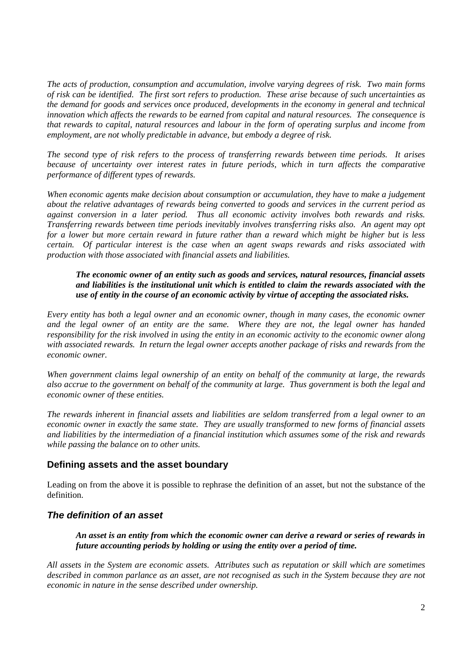*The acts of production, consumption and accumulation, involve varying degrees of risk. Two main forms of risk can be identified. The first sort refers to production. These arise because of such uncertainties as the demand for goods and services once produced, developments in the economy in general and technical innovation which affects the rewards to be earned from capital and natural resources. The consequence is that rewards to capital, natural resources and labour in the form of operating surplus and income from employment, are not wholly predictable in advance, but embody a degree of risk.* 

*The second type of risk refers to the process of transferring rewards between time periods. It arises because of uncertainty over interest rates in future periods, which in turn affects the comparative performance of different types of rewards.* 

*When economic agents make decision about consumption or accumulation, they have to make a judgement about the relative advantages of rewards being converted to goods and services in the current period as against conversion in a later period. Thus all economic activity involves both rewards and risks. Transferring rewards between time periods inevitably involves transferring risks also. An agent may opt for a lower but more certain reward in future rather than a reward which might be higher but is less certain. Of particular interest is the case when an agent swaps rewards and risks associated with production with those associated with financial assets and liabilities.* 

*The economic owner of an entity such as goods and services, natural resources, financial assets and liabilities is the institutional unit which is entitled to claim the rewards associated with the use of entity in the course of an economic activity by virtue of accepting the associated risks.* 

*Every entity has both a legal owner and an economic owner, though in many cases, the economic owner and the legal owner of an entity are the same. Where they are not, the legal owner has handed responsibility for the risk involved in using the entity in an economic activity to the economic owner along with associated rewards. In return the legal owner accepts another package of risks and rewards from the economic owner.* 

*When government claims legal ownership of an entity on behalf of the community at large, the rewards also accrue to the government on behalf of the community at large. Thus government is both the legal and economic owner of these entities.* 

*The rewards inherent in financial assets and liabilities are seldom transferred from a legal owner to an economic owner in exactly the same state. They are usually transformed to new forms of financial assets and liabilities by the intermediation of a financial institution which assumes some of the risk and rewards while passing the balance on to other units.* 

## **Defining assets and the asset boundary**

Leading on from the above it is possible to rephrase the definition of an asset, but not the substance of the definition.

## **The definition of an asset**

*An asset is an entity from which the economic owner can derive a reward or series of rewards in future accounting periods by holding or using the entity over a period of time.* 

*All assets in the System are economic assets. Attributes such as reputation or skill which are sometimes described in common parlance as an asset, are not recognised as such in the System because they are not economic in nature in the sense described under ownership.*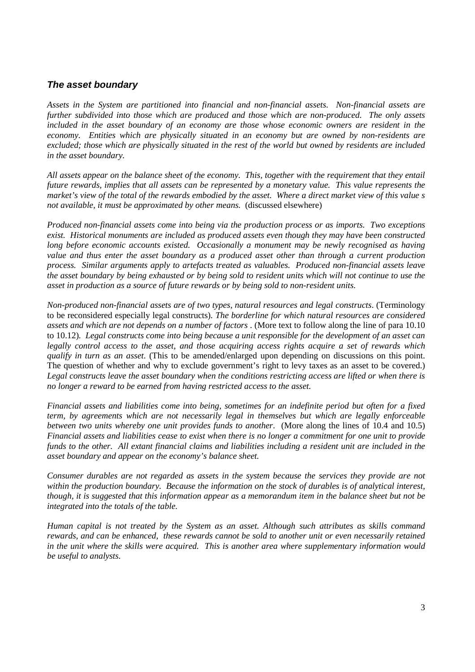## **The asset boundary**

*Assets in the System are partitioned into financial and non-financial assets. Non-financial assets are further subdivided into those which are produced and those which are non-produced. The only assets included in the asset boundary of an economy are those whose economic owners are resident in the economy. Entities which are physically situated in an economy but are owned by non-residents are excluded; those which are physically situated in the rest of the world but owned by residents are included in the asset boundary.* 

*All assets appear on the balance sheet of the economy. This, together with the requirement that they entail future rewards, implies that all assets can be represented by a monetary value. This value represents the market's view of the total of the rewards embodied by the asset. Where a direct market view of this value s not available, it must be approximated by other means.* (discussed elsewhere)

*Produced non-financial assets come into being via the production process or as imports. Two exceptions exist. Historical monuments are included as produced assets even though they may have been constructed*  long before economic accounts existed. Occasionally a monument may be newly recognised as having *value and thus enter the asset boundary as a produced asset other than through a current production process. Similar arguments apply to artefacts treated as valuables. Produced non-financial assets leave the asset boundary by being exhausted or by being sold to resident units which will not continue to use the asset in production as a source of future rewards or by being sold to non-resident units.* 

*Non-produced non-financial assets are of two types, natural resources and legal constructs*. (Terminology to be reconsidered especially legal constructs)*. The borderline for which natural resources are considered assets and which are not depends on a number of factors* . (More text to follow along the line of para 10.10 to 10.12)*. Legal constructs come into being because a unit responsible for the development of an asset can legally control access to the asset, and those acquiring access rights acquire a set of rewards which qualify in turn as an asset*. (This to be amended/enlarged upon depending on discussions on this point. The question of whether and why to exclude government's right to levy taxes as an asset to be covered.) *Legal constructs leave the asset boundary when the conditions restricting access are lifted or when there is no longer a reward to be earned from having restricted access to the asset.* 

*Financial assets and liabilities come into being, sometimes for an indefinite period but often for a fixed term, by agreements which are not necessarily legal in themselves but which are legally enforceable between two units whereby one unit provides funds to another*. (More along the lines of 10.4 and 10.5) *Financial assets and liabilities cease to exist when there is no longer a commitment for one unit to provide funds to the other. All extant financial claims and liabilities including a resident unit are included in the asset boundary and appear on the economy's balance sheet.* 

*Consumer durables are not regarded as assets in the system because the services they provide are not within the production boundary. Because the information on the stock of durables is of analytical interest, though, it is suggested that this information appear as a memorandum item in the balance sheet but not be integrated into the totals of the table.* 

*Human capital is not treated by the System as an asset. Although such attributes as skills command rewards, and can be enhanced, these rewards cannot be sold to another unit or even necessarily retained in the unit where the skills were acquired. This is another area where supplementary information would be useful to analysts.*